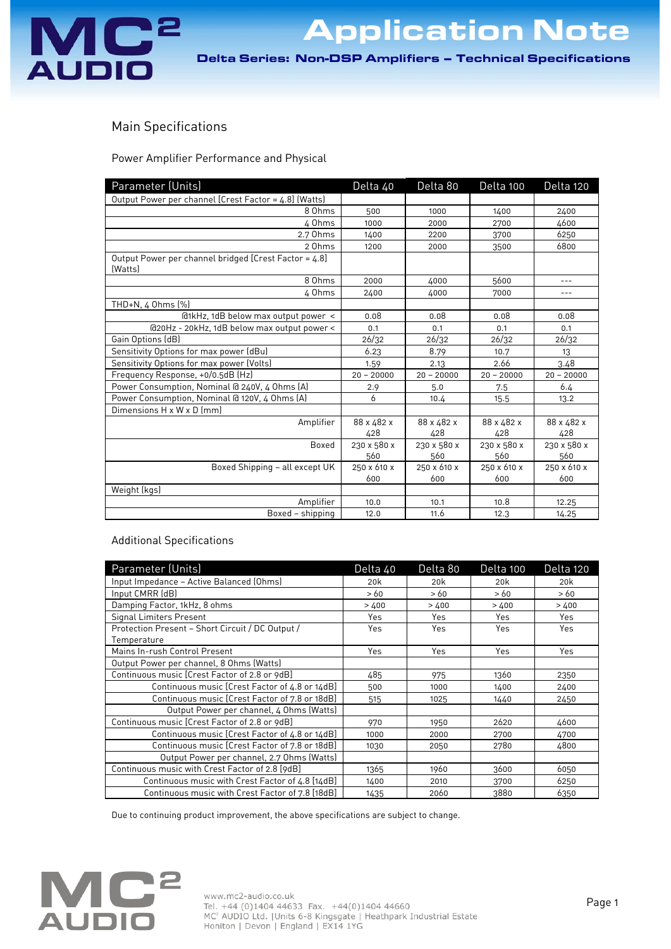

Application Note

Delta Series: Non-DSP Amplifiers – Technical Specifications

## Main Specifications

Power Amplifier Performance and Physical

| Parameter (Units)                                                | Delta 40           | Delta 80           | Delta 100          | Delta 120          |
|------------------------------------------------------------------|--------------------|--------------------|--------------------|--------------------|
| Output Power per channel [Crest Factor = 4.8] (Watts)            |                    |                    |                    |                    |
| 8 Ohms                                                           | 500                | 1000               | 1400               | 2400               |
| 4 Ohms                                                           | 1000               | 2000               | 2700               | 4600               |
| 2.7 Ohms                                                         | 1400               | 2200               | 3700               | 6250               |
| 2 Ohms                                                           | 1200               | 2000               | 3500               | 6800               |
| Output Power per channel bridged [Crest Factor = 4.8]<br>(Watts) |                    |                    |                    |                    |
| 8 Ohms                                                           | 2000               | 4000               | 5600               | $---$              |
| 4 Ohms                                                           | 2400               | 4000               | 7000               | $---$              |
| THD+N, 4 0hms (%)                                                |                    |                    |                    |                    |
| @1kHz, 1dB below max output power <                              | 0.08               | 0.08               | 0.08               | 0.08               |
| @20Hz - 20kHz, 1dB below max output power <                      | 0.1                | 0.1                | 0.1                | 0.1                |
| Gain Options (dB)                                                | 26/32              | 26/32              | 26/32              | 26/32              |
| Sensitivity Options for max power (dBu)                          | 6.23               | 8.79               | 10.7               | 13                 |
| Sensitivity Options for max power (Volts)                        | 1.59               | 2.13               | 2.66               | 3.48               |
| Frequency Response, +0/0.5dB (Hz)                                | $20 - 20000$       | $20 - 20000$       | $20 - 20000$       | $20 - 20000$       |
| Power Consumption, Nominal @ 240V, 4 Ohms (A)                    | 2.9                | 5.0                | 7.5                | 6.4                |
| Power Consumption, Nominal @ 120V, 4 Ohms (A)                    | 6                  | 10.4               | 15.5               | 13.2               |
| Dimensions H x W x D (mm)                                        |                    |                    |                    |                    |
| Amplifier                                                        | 88 x 482 x<br>428  | 88 x 482 x<br>428  | 88 x 482 x<br>428  | 88 x 482 x<br>428  |
| Boxed                                                            | 230 x 580 x<br>560 | 230 x 580 x<br>560 | 230 x 580 x<br>560 | 230 x 580 x<br>560 |
| Boxed Shipping - all except UK                                   | 250 x 610 x<br>600 | 250 x 610 x<br>600 | 250 x 610 x<br>600 | 250 x 610 x<br>600 |
| Weight (kgs)                                                     |                    |                    |                    |                    |
| Amplifier                                                        | 10.0               | 10.1               | 10.8               | 12.25              |
| Boxed - shipping                                                 | 12.0               | 11.6               | 12.3               | 14.25              |

## Additional Specifications

| Parameter (Units)                                | Delta 40        | Delta 80        | Delta 100       | Delta 120 |
|--------------------------------------------------|-----------------|-----------------|-----------------|-----------|
| Input Impedance - Active Balanced (Ohms)         | 20 <sub>k</sub> | 20 <sub>k</sub> | 20 <sub>k</sub> | 20k       |
| Input CMRR (dB)                                  | >60             | >60             | >60             | >60       |
| Damping Factor, 1kHz, 8 ohms                     | >400            | >400            | >400            | >400      |
| <b>Signal Limiters Present</b>                   | Yes             | Yes             | Yes             | Yes       |
| Protection Present - Short Circuit / DC Output / | Yes             | Yes             | Yes             | Yes       |
| Temperature                                      |                 |                 |                 |           |
| Mains In-rush Control Present                    | Yes             | Yes             | Yes             | Yes       |
| Output Power per channel, 8 Ohms (Watts)         |                 |                 |                 |           |
| Continuous music [Crest Factor of 2.8 or 9dB]    | 485             | 975             | 1360            | 2350      |
| Continuous music [Crest Factor of 4.8 or 14dB]   | 500             | 1000            | 1400            | 2400      |
| Continuous music [Crest Factor of 7.8 or 18dB]   | 515             | 1025            | 1440            | 2450      |
| Output Power per channel, 4 Ohms (Watts)         |                 |                 |                 |           |
| Continuous music [Crest Factor of 2.8 or 9dB]    | 970             | 1950            | 2620            | 4600      |
| Continuous music [Crest Factor of 4.8 or 14dB]   | 1000            | 2000            | 2700            | 4700      |
| Continuous music [Crest Factor of 7.8 or 18dB]   | 1030            | 2050            | 2780            | 4800      |
| Output Power per channel, 2.7 Ohms (Watts)       |                 |                 |                 |           |
| Continuous music with Crest Factor of 2.8 [9dB]  | 1365            | 1960            | 3600            | 6050      |
| Continuous music with Crest Factor of 4.8 [14dB] | 1400            | 2010            | 3700            | 6250      |
| Continuous music with Crest Factor of 7.8 [18dB] | 1435            | 2060            | 3880            | 6350      |

Due to continuing product improvement, the above specifications are subject to change.